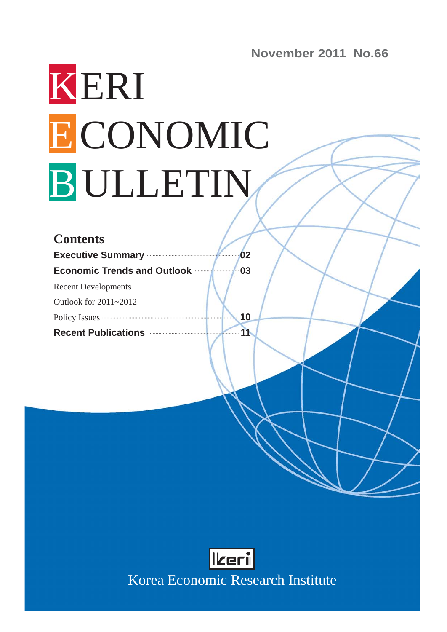# KERI ECONOMIC B ULLETIN

| <b>Contents</b>                                                                                                                                                                                                                      |    |
|--------------------------------------------------------------------------------------------------------------------------------------------------------------------------------------------------------------------------------------|----|
| Executive Summary <b>Executive</b>                                                                                                                                                                                                   | 02 |
| <b>Economic Trends and Outlook</b>                                                                                                                                                                                                   | 03 |
| <b>Recent Developments</b>                                                                                                                                                                                                           |    |
| Outlook for 2011~2012                                                                                                                                                                                                                |    |
| Policy Issues <b>Constant Contract Constant Constant Constant Constant Constant Constant Constant Constant Constant Constant Constant Constant Constant Constant Constant Constant Constant Constant Constant Constant Constant </b> | 10 |
| Recent Publications <b>Manual</b>                                                                                                                                                                                                    | 11 |



Korea Economic Research Institute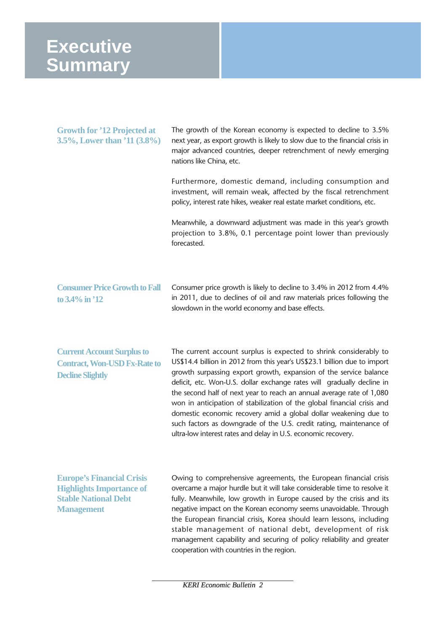### **Executive Summary**

| <b>Growth for '12 Projected at</b><br>3.5%, Lower than '11 (3.8%)                                                       | The growth of the Korean economy is expected to decline to 3.5%<br>next year, as export growth is likely to slow due to the financial crisis in<br>major advanced countries, deeper retrenchment of newly emerging<br>nations like China, etc.                                                                                                                                                                                                                                                                                                                                                                                                               |  |  |  |  |  |  |
|-------------------------------------------------------------------------------------------------------------------------|--------------------------------------------------------------------------------------------------------------------------------------------------------------------------------------------------------------------------------------------------------------------------------------------------------------------------------------------------------------------------------------------------------------------------------------------------------------------------------------------------------------------------------------------------------------------------------------------------------------------------------------------------------------|--|--|--|--|--|--|
|                                                                                                                         | Furthermore, domestic demand, including consumption and<br>investment, will remain weak, affected by the fiscal retrenchment<br>policy, interest rate hikes, weaker real estate market conditions, etc.                                                                                                                                                                                                                                                                                                                                                                                                                                                      |  |  |  |  |  |  |
|                                                                                                                         | Meanwhile, a downward adjustment was made in this year's growth<br>projection to 3.8%, 0.1 percentage point lower than previously<br>forecasted.                                                                                                                                                                                                                                                                                                                                                                                                                                                                                                             |  |  |  |  |  |  |
| <b>Consumer Price Growth to Fall</b><br>to 3.4% in '12                                                                  | Consumer price growth is likely to decline to 3.4% in 2012 from 4.4%<br>in 2011, due to declines of oil and raw materials prices following the<br>slowdown in the world economy and base effects.                                                                                                                                                                                                                                                                                                                                                                                                                                                            |  |  |  |  |  |  |
| <b>Current Account Surplus to</b><br><b>Contract, Won-USD Fx-Rate to</b><br><b>Decline Slightly</b>                     | The current account surplus is expected to shrink considerably to<br>US\$14.4 billion in 2012 from this year's US\$23.1 billion due to import<br>growth surpassing export growth, expansion of the service balance<br>deficit, etc. Won-U.S. dollar exchange rates will gradually decline in<br>the second half of next year to reach an annual average rate of 1,080<br>won in anticipation of stabilization of the global financial crisis and<br>domestic economic recovery amid a global dollar weakening due to<br>such factors as downgrade of the U.S. credit rating, maintenance of<br>ultra-low interest rates and delay in U.S. economic recovery. |  |  |  |  |  |  |
| <b>Europe's Financial Crisis</b><br><b>Highlights Importance of</b><br><b>Stable National Debt</b><br><b>Management</b> | Owing to comprehensive agreements, the European financial crisis<br>overcame a major hurdle but it will take considerable time to resolve it<br>fully. Meanwhile, low growth in Europe caused by the crisis and its<br>negative impact on the Korean economy seems unavoidable. Through<br>the European financial crisis, Korea should learn lessons, including<br>stable management of national debt, development of risk<br>management capability and securing of policy reliability and greater<br>cooperation with countries in the region.                                                                                                              |  |  |  |  |  |  |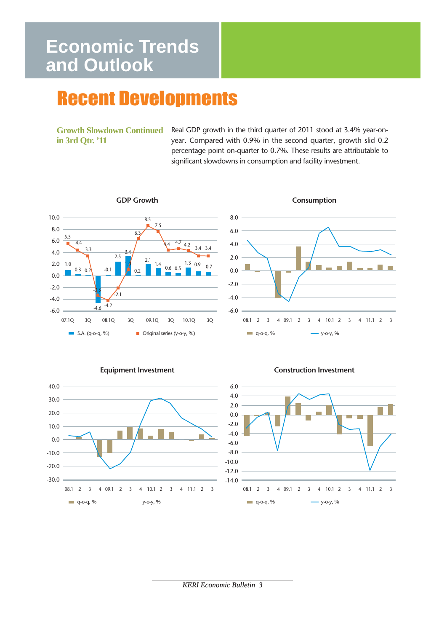### **Economic Trends and Outlook**

# Recent Developments

**Growth Slowdown Continued in 3rd Qtr. '11**

Real GDP growth in the third quarter of 2011 stood at 3.4% year-onyear. Compared with 0.9% in the second quarter, growth slid 0.2 percentage point on-quarter to 0.7%. These results are attributable to significant slowdowns in consumption and facility investment.

**GDP Growth Consumption**







**Equipment Investment Construction Investment** 

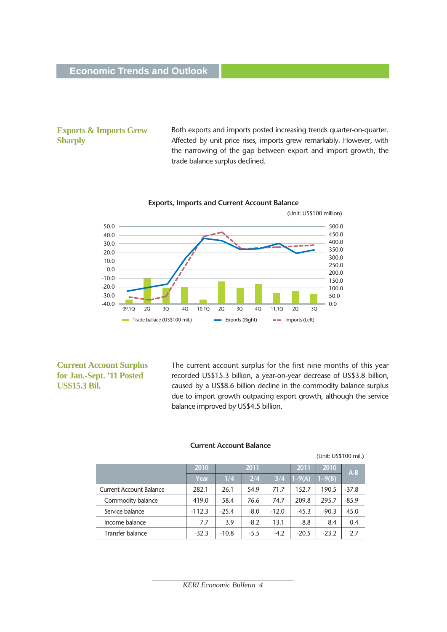**Exports & Imports Grew Sharply** 

Both exports and imports posted increasing trends quarter-on-quarter. Affected by unit price rises, imports grew remarkably. However, with the narrowing of the gap between export and import growth, the trade balance surplus declined.



#### **Exports, Imports and Current Account Balance**

**Current Account Surplus for Jan.-Sept. '11 Posted US\$15.3 Bil.** 

The current account surplus for the first nine months of this year recorded US\$15.3 billion, a year-on-year decrease of US\$3.8 billion, caused by a US\$8.6 billion decline in the commodity balance surplus due to import growth outpacing export growth, although the service balance improved by US\$4.5 billion.

#### **Current Account Balance**

**2010 2011 2011 2010 A-B Year 1/4 2/4 3/4 1~9(A) 1~9(B)** Current Account Balance | 282.1 | 26.1 | 54.9 | 71.7 | 152.7 | 190.5 | -37.8 Commodity balance 419.0 58.4 76.6 74.7 209.8 295.7 -85.9 Service balance  $\vert$  -112.3  $\vert$  -25.4  $\vert$  -8.0  $\vert$  -12.0  $\vert$  -45.3  $\vert$  -90.3  $\vert$  45.0 Income balance 7.7 3.9 -8.2 13.1 8.8 8.4 0.4 Transfer balance  $\begin{vmatrix} -32.3 & -10.8 & -5.5 & -4.2 & -20.5 & -23.2 & 2.7 \end{vmatrix}$ (Unit: US\$100 mil.)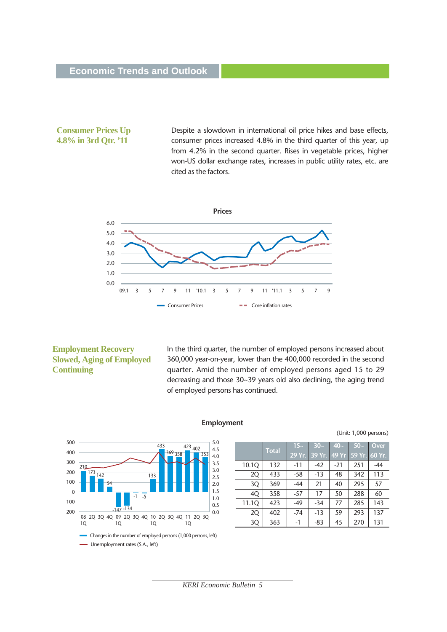### **Economic Trends and Outlook**

#### **Consumer Prices Up 4.8% in 3rd Qtr. '11**

Despite a slowdown in international oil price hikes and base effects, consumer prices increased 4.8% in the third quarter of this year, up from 4.2% in the second quarter. Rises in vegetable prices, higher won-US dollar exchange rates, increases in public utility rates, etc. are cited as the factors.



### **Employment Recovery Slowed, Aging of Employed Continuing**

In the third quarter, the number of employed persons increased about 360,000 year-on-year, lower than the 400,000 recorded in the second quarter. Amid the number of employed persons aged 15 to 29 decreasing and those 30~39 years old also declining, the aging trend of employed persons has continued.

![](_page_4_Figure_6.jpeg)

#### **Employment**

(Unit: 1,000 persons)

|       |              | $15-$<br>$30-$ |               | $40-$ | $50-$               | <b>Over</b> |
|-------|--------------|----------------|---------------|-------|---------------------|-------------|
|       | <b>Total</b> |                | 29 Yr. 39 Yr. |       | 49 Yr 59 Yr. 60 Yr. |             |
| 10.1Q | 132          | $-11$          | $-42$         | $-21$ | 251                 | $-44$       |
| 2Q    | 433          | -58            | $-13$         | 48    | 342                 | 113         |
| 3Q    | 369          | $-44$          | 21            | 40    | 295                 | 57          |
| 4Q    | 358          | $-57$          | 17            | 50    | 288                 | 60          |
| 11.1Q | 423          | -49            | $-34$         | 77    | 285                 | 143         |
| 2Q    | 402          | $-74$          | $-13$         | 59    | 293                 | 137         |
| 3Q    | 363          | $-1$           | -83           | 45    | 270                 | 131         |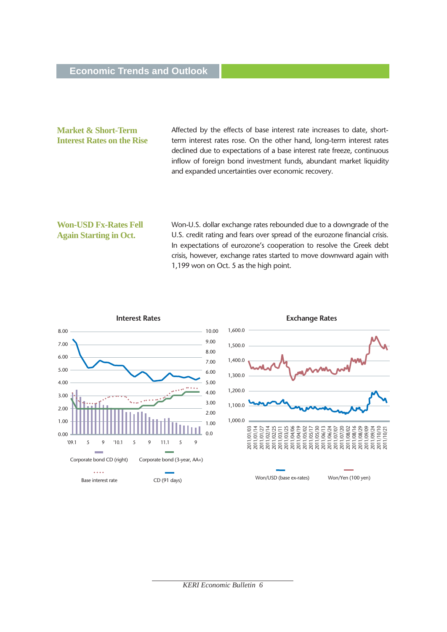### **Market & Short-Term Interest Rates on the Rise**

Affected by the effects of base interest rate increases to date, shortterm interest rates rose. On the other hand, long-term interest rates declined due to expectations of a base interest rate freeze, continuous inflow of foreign bond investment funds, abundant market liquidity and expanded uncertainties over economic recovery.

### **Won-USD Fx-Rates Fell Again Starting in Oct.**

Won-U.S. dollar exchange rates rebounded due to a downgrade of the U.S. credit rating and fears over spread of the eurozone financial crisis. In expectations of eurozone's cooperation to resolve the Greek debt crisis, however, exchange rates started to move downward again with 1,199 won on Oct. 5 as the high point.

![](_page_5_Figure_5.jpeg)

![](_page_5_Figure_6.jpeg)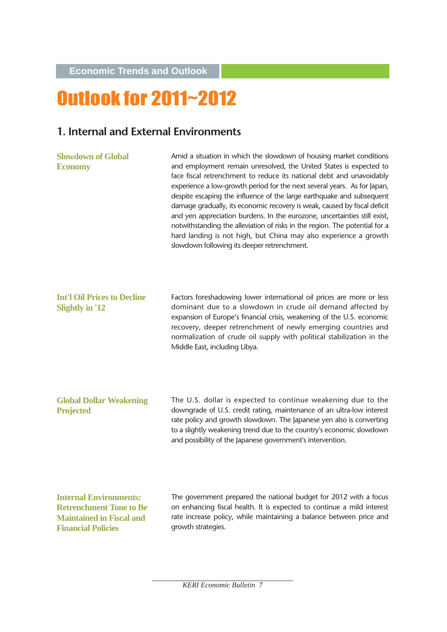**Economic Trends and Outlook**

# Outlook for 2011~2012

### **1. Internal and External Environments**

**Slowdown of Global Economy**

Amid a situation in which the slowdown of housing market conditions and employment remain unresolved, the United States is expected to face fiscal retrenchment to reduce its national debt and unavoidably experience a low-growth period for the next several years. As for Japan, despite escaping the influence of the large earthquake and subsequent damage gradually, its economic recovery is weak, caused by fiscal deficit and yen appreciation burdens. In the eurozone, uncertainties still exist, notwithstanding the alleviation of risks in the region. The potential for a hard landing is not high, but China may also experience a growth slowdown following its deeper retrenchment.

#### **Int'l Oil Prices to Decline Slightly in '12**

Factors foreshadowing lower international oil prices are more or less dominant due to a slowdown in crude oil demand affected by expansion of Europe's financial crisis, weakening of the U.S. economic recovery, deeper retrenchment of newly emerging countries and normalization of crude oil supply with political stabilization in the Middle East, including Libya.

### **Global Dollar Weakening Projected**

The U.S. dollar is expected to continue weakening due to the downgrade of U.S. credit rating, maintenance of an ultra-low interest rate policy and growth slowdown. The Japanese yen also is converting to a slightly weakening trend due to the country's economic slowdown and possibility of the Japanese government's intervention.

**Internal Environments: Retrenchment Tone to Be Maintained in Fiscal and Financial Policies** 

The government prepared the national budget for 2012 with a focus on enhancing fiscal health. It is expected to continue a mild interest rate increase policy, while maintaining a balance between price and growth strategies.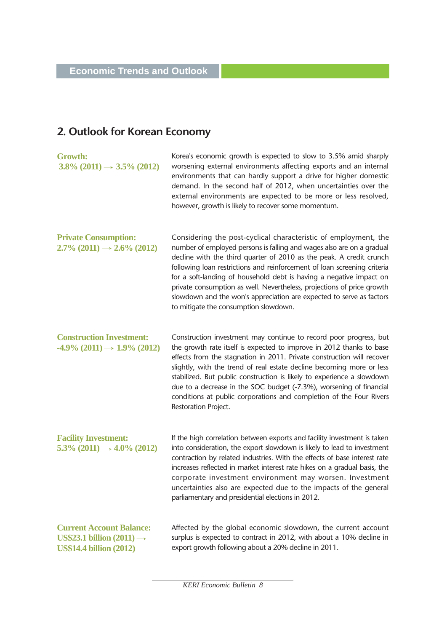### **2. Outlook for Korean Economy**

| <b>Growth:</b><br>$3.8\%$ (2011) $\rightarrow$ 3.5% (2012)                                                 | Korea's economic growth is expected to slow to 3.5% amid sharply<br>worsening external environments affecting exports and an internal<br>environments that can hardly support a drive for higher domestic<br>demand. In the second half of 2012, when uncertainties over the<br>external environments are expected to be more or less resolved,<br>however, growth is likely to recover some momentum.                                                                                                                                                        |
|------------------------------------------------------------------------------------------------------------|---------------------------------------------------------------------------------------------------------------------------------------------------------------------------------------------------------------------------------------------------------------------------------------------------------------------------------------------------------------------------------------------------------------------------------------------------------------------------------------------------------------------------------------------------------------|
| <b>Private Consumption:</b><br>$2.7\%$ (2011) $\rightarrow$ 2.6% (2012)                                    | Considering the post-cyclical characteristic of employment, the<br>number of employed persons is falling and wages also are on a gradual<br>decline with the third quarter of 2010 as the peak. A credit crunch<br>following loan restrictions and reinforcement of loan screening criteria<br>for a soft-landing of household debt is having a negative impact on<br>private consumption as well. Nevertheless, projections of price growth<br>slowdown and the won's appreciation are expected to serve as factors<br>to mitigate the consumption slowdown. |
| <b>Construction Investment:</b><br>$-4.9\%$ (2011) $\rightarrow 1.9\%$ (2012)                              | Construction investment may continue to record poor progress, but<br>the growth rate itself is expected to improve in 2012 thanks to base<br>effects from the stagnation in 2011. Private construction will recover<br>slightly, with the trend of real estate decline becoming more or less<br>stabilized. But public construction is likely to experience a slowdown<br>due to a decrease in the SOC budget (-7.3%), worsening of financial<br>conditions at public corporations and completion of the Four Rivers<br>Restoration Project.                  |
| <b>Facility Investment:</b><br>5.3% $(2011) \rightarrow 4.0\%$ $(2012)$                                    | If the high correlation between exports and facility investment is taken<br>into consideration, the export slowdown is likely to lead to investment<br>contraction by related industries. With the effects of base interest rate<br>increases reflected in market interest rate hikes on a gradual basis, the<br>corporate investment environment may worsen. Investment<br>uncertainties also are expected due to the impacts of the general<br>parliamentary and presidential elections in 2012.                                                            |
| <b>Current Account Balance:</b><br>US\$23.1 billion $(2011) \rightarrow$<br><b>US\$14.4 billion (2012)</b> | Affected by the global economic slowdown, the current account<br>surplus is expected to contract in 2012, with about a 10% decline in<br>export growth following about a 20% decline in 2011.                                                                                                                                                                                                                                                                                                                                                                 |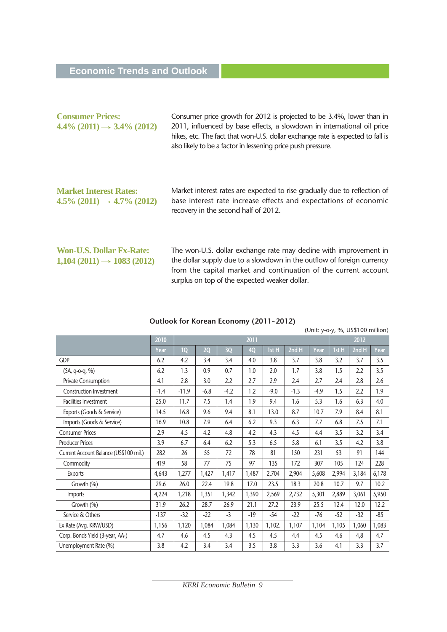| <b>Consumer Prices:</b><br>$4.4\%$ (2011) $\rightarrow$ 3.4% (2012)       | Consumer price growth for 2012 is projected to be 3.4%, lower than in<br>2011, influenced by base effects, a slowdown in international oil price<br>hikes, etc. The fact that won-U.S. dollar exchange rate is expected to fall is<br>also likely to be a factor in lessening price push pressure. |  |  |  |  |  |
|---------------------------------------------------------------------------|----------------------------------------------------------------------------------------------------------------------------------------------------------------------------------------------------------------------------------------------------------------------------------------------------|--|--|--|--|--|
| <b>Market Interest Rates:</b><br>$4.5\%$ (2011) $\rightarrow$ 4.7% (2012) | Market interest rates are expected to rise gradually due to reflection of<br>base interest rate increase effects and expectations of economic<br>recovery in the second half of 2012.                                                                                                              |  |  |  |  |  |
| <b>Won-U.S. Dollar Fx-Rate:</b><br>$1,104(2011) \rightarrow 1083(2012)$   | The won-U.S. dollar exchange rate may decline with improvement in<br>the dollar supply due to a slowdown in the outflow of foreign currency<br>from the capital market and continuation of the current account<br>surplus on top of the expected weaker dollar.                                    |  |  |  |  |  |

### **Outlook for Korean Economy (2011~2012)**

|                                        |        | (Unit: y-o-y, %, US\$100 million) |        |        |       |        |        |        |       |       |         |
|----------------------------------------|--------|-----------------------------------|--------|--------|-------|--------|--------|--------|-------|-------|---------|
|                                        | 2010   | 2011                              |        |        |       |        | 2012   |        |       |       |         |
|                                        | Year   | 1Q                                | 2Q     | 3Q     | 4Q    | 1st H  | 2nd H  | Year   | 1st H | 2nd H | Year    |
| <b>GDP</b>                             | 6.2    | 4.2                               | 3.4    | 3.4    | 4.0   | 3.8    | 3.7    | 3.8    | 3.2   | 3.7   | 3.5     |
| (SA, q-o-q, %)                         | 6.2    | 1.3                               | 0.9    | 0.7    | 1.0   | 2.0    | 1.7    | 3.8    | 1.5   | 2.2   | 3.5     |
| Private Consumption                    | 4.1    | 2.8                               | 3.0    | 2.2    | 2.7   | 2.9    | 2.4    | 2.7    | 2.4   | 2.8   | 2.6     |
| <b>Construction Investment</b>         | $-1.4$ | $-11.9$                           | $-6.8$ | $-4.2$ | 1.2   | $-9.0$ | $-1.3$ | $-4.9$ | 1.5   | 2.2   | 1.9     |
| <b>Facilities Investment</b>           | 25.0   | 11.7                              | 7.5    | 1.4    | 1.9   | 9.4    | 1.6    | 5.3    | 1.6   | 6.3   | $4.0\,$ |
| Exports (Goods & Service)              | 14.5   | 16.8                              | 9.6    | 9.4    | 8.1   | 13.0   | 8.7    | 10.7   | 7.9   | 8.4   | 8.1     |
| Imports (Goods & Service)              | 16.9   | 10.8                              | 7.9    | 6.4    | 6.2   | 9.3    | 6.3    | 7.7    | 6.8   | 7.5   | 7.1     |
| <b>Consumer Prices</b>                 | 2.9    | 4.5                               | 4.2    | 4.8    | 4.2   | 4.3    | 4.5    | 4.4    | 3.5   | 3.2   | 3.4     |
| <b>Producer Prices</b>                 | 3.9    | 6.7                               | 6.4    | 6.2    | 5.3   | 6.5    | 5.8    | 6.1    | 3.5   | 4.2   | 3.8     |
| Current Account Balance (US\$100 mil.) | 282    | 26                                | 55     | 72     | 78    | 81     | 150    | 231    | 53    | 91    | 144     |
| Commodity                              | 419    | 58                                | 77     | 75     | 97    | 135    | 172    | 307    | 105   | 124   | 228     |
| Exports                                | 4,643  | 1,277                             | 1,427  | 1,417  | 1,487 | 2,704  | 2,904  | 5,608  | 2,994 | 3,184 | 6,178   |
| Growth (%)                             | 29.6   | 26.0                              | 22.4   | 19.8   | 17.0  | 23.5   | 18.3   | 20.8   | 10.7  | 9.7   | 10.2    |
| Imports                                | 4,224  | 1,218                             | 1,351  | 1,342  | 1,390 | 2,569  | 2,732  | 5,301  | 2,889 | 3,061 | 5,950   |
| Growth (%)                             | 31.9   | 26.2                              | 28.7   | 26.9   | 21.1  | 27.2   | 23.9   | 25.5   | 12.4  | 12.0  | 12.2    |
| Service & Others                       | $-137$ | $-32$                             | $-22$  | $-3$   | $-19$ | $-54$  | $-22$  | $-76$  | $-52$ | $-32$ | $-85$   |
| Ex Rate (Avg. KRW/USD)                 | 1,156  | 1,120                             | 1,084  | 1,084  | 1,130 | 1,102. | 1,107  | 1,104  | 1,105 | 1,060 | 1,083   |
| Corp. Bonds Yield (3-year, AA-)        | 4.7    | 4.6                               | 4.5    | 4.3    | 4.5   | 4.5    | 4.4    | 4.5    | 4.6   | 4,8   | 4.7     |
| Unemployment Rate (%)                  | 3.8    | 4.2                               | 3.4    | 3.4    | 3.5   | 3.8    | 3.3    | 3.6    | 4.1   | 3.3   | 3.7     |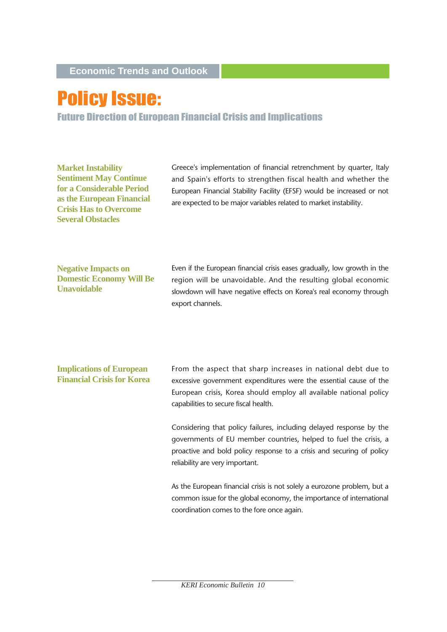## Policy Issue:

Future Direction of European Financial Crisis and Implications

**Market Instability Sentiment May Continue for a Considerable Period as the European Financial Crisis Has to Overcome Several Obstacles**

Greece's implementation of financial retrenchment by quarter, Italy and Spain's efforts to strengthen fiscal health and whether the European Financial Stability Facility (EFSF) would be increased or not are expected to be major variables related to market instability.

**Negative Impacts on Domestic Economy Will Be Unavoidable** 

Even if the European financial crisis eases gradually, low growth in the region will be unavoidable. And the resulting global economic slowdown will have negative effects on Korea's real economy through export channels.

#### **Implications of European Financial Crisis for Korea**

From the aspect that sharp increases in national debt due to excessive government expenditures were the essential cause of the European crisis, Korea should employ all available national policy capabilities to secure fiscal health.

Considering that policy failures, including delayed response by the governments of EU member countries, helped to fuel the crisis, a proactive and bold policy response to a crisis and securing of policy reliability are very important.

As the European financial crisis is not solely a eurozone problem, but a common issue for the global economy, the importance of international coordination comes to the fore once again.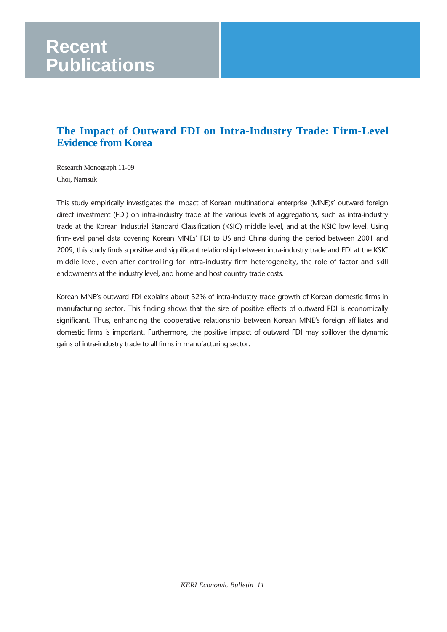### **Recent Publications**

### **The Impact of Outward FDI on Intra-Industry Trade: Firm-Level Evidence from Korea**

Research Monograph 11-09 Choi, Namsuk

This study empirically investigates the impact of Korean multinational enterprise (MNE)s' outward foreign direct investment (FDI) on intra-industry trade at the various levels of aggregations, such as intra-industry trade at the Korean Industrial Standard Classification (KSIC) middle level, and at the KSIC low level. Using firm-level panel data covering Korean MNEs' FDI to US and China during the period between 2001 and 2009, this study finds a positive and significant relationship between intra-industry trade and FDI at the KSIC middle level, even after controlling for intra-industry firm heterogeneity, the role of factor and skill endowments at the industry level, and home and host country trade costs.

Korean MNE's outward FDI explains about 32% of intra-industry trade growth of Korean domestic firms in manufacturing sector. This finding shows that the size of positive effects of outward FDI is economically significant. Thus, enhancing the cooperative relationship between Korean MNE's foreign affiliates and domestic firms is important. Furthermore, the positive impact of outward FDI may spillover the dynamic gains of intra-industry trade to all firms in manufacturing sector.